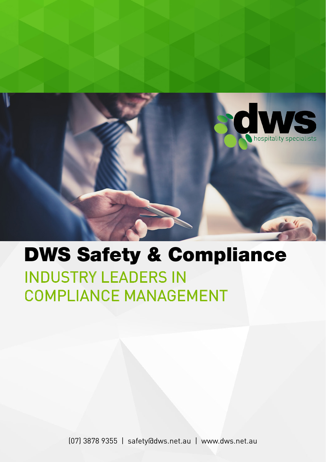

# INDUSTRY LEADERS IN COMPLIANCE MANAGEMENT DWS Safety & Compliance

(07) 3878 9355 | safety@dws.net.au | www.dws.net.au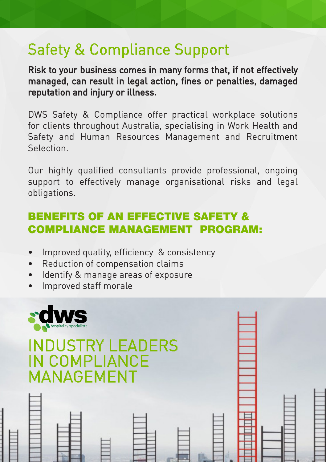# Safety & Compliance Support

Risk to your business comes in many forms that, if not effectively managed, can result in legal action, fines or penalties, damaged reputation and injury or illness.

DWS Safety & Compliance offer practical workplace solutions for clients throughout Australia, specialising in Work Health and Safety and Human Resources Management and Recruitment Selection.

Our highly qualified consultants provide professional, ongoing support to effectively manage organisational risks and legal obligations.

# BENEFITS OF AN EFFECTIVE SAFETY & COMPLIANCE MANAGEMENT PROGRAM:

- Improved quality, efficiency & consistency
- Reduction of compensation claims
- • Identify & manage areas of exposure
- • Improved staff morale

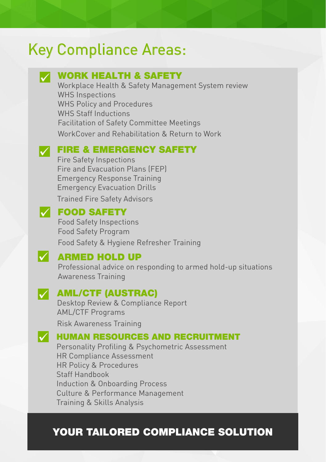# Key Compliance Areas:

## WORK HEALTH & SAFETY

Workplace Health & Safety Management System review WHS Inspections WHS Policy and Procedures WHS Staff Inductions Facilitation of Safety Committee Meetings WorkCover and Rehabilitation & Return to Work

# **FIRE & EMERGENCY SAFETY**

Fire Safety Inspections Fire and Evacuation Plans (FEP) Emergency Response Training Emergency Evacuation Drills Trained Fire Safety Advisors

## **SAFETY**

Food Safety Inspections Food Safety Program

Food Safety & Hygiene Refresher Training

### **ARMED HOLD UP**

Professional advice on responding to armed hold-up situations Awareness Training

### **V** AML/CTF (AUSTRAC)

Desktop Review & Compliance Report AML/CTF Programs

Risk Awareness Training

#### $\mathcal V$  HUMAN RESOURCES AND RECRUITMENT

Personality Profiling & Psychometric Assessment HR Compliance Assessment HR Policy & Procedures Staff Handbook Induction & Onboarding Process Culture & Performance Management Training & Skills Analysis

## YOUR TAILORED COMPLIANCE SOLUTION